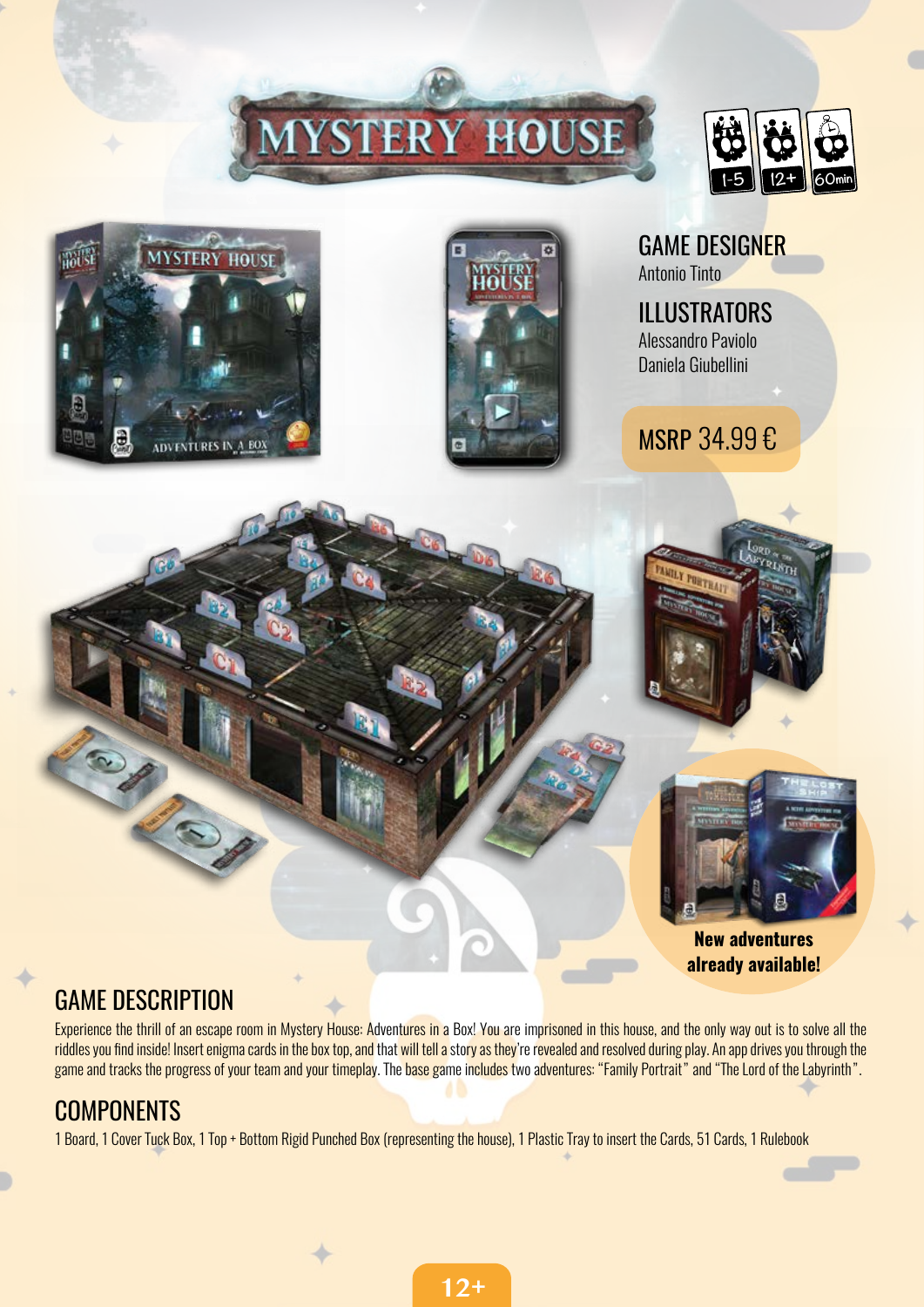# **STERY HOUSE**







GAME DESIGNER Antonio Tinto

ILLUSTRATORS Alessandro Paviolo Daniela Giubellini

MSRP 34.99 €





New adventures already available!

#### GAME DESCRIPTION

Experience the thrill of an escape room in Mystery House: Adventures in a Box! You are imprisoned in this house, and the only way out is to solve all the riddles you find inside! Insert enigma cards in the box top, and that will tell a story as they're revealed and resolved during play. An app drives you through the game and tracks the progress of your team and your timeplay. The base game includes two adventures: "Family Portrait" and "The Lord of the Labyrinth".

#### **COMPONENTS**

1 Board, 1 Cover Tuck Box, 1 Top + Bottom Rigid Punched Box (representing the house), 1 Plastic Tray to insert the Cards, 51 Cards, 1 Rulebook